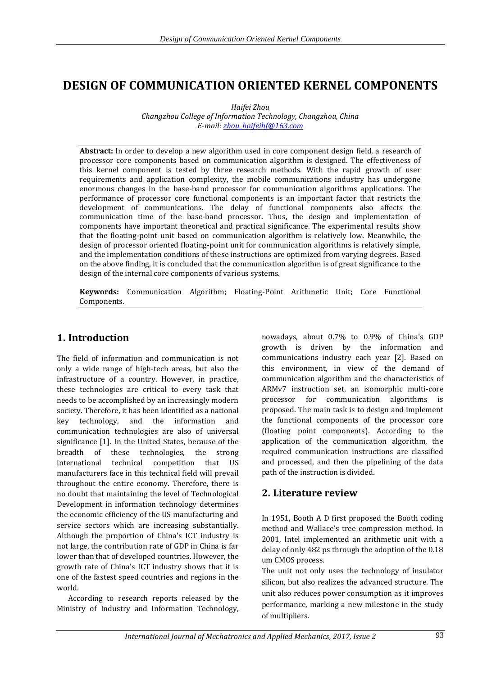# **DESIGN OF COMMUNICATION ORIENTED KERNEL COMPONENTS**

*Haifei Zhou*

*Changzhou College of Information Technology, Changzhou, China E-mail: [zhou\\_haifeihf@163.com](mailto:zhou_haifeihf@163.com)*

**Abstract:** In order to develop a new algorithm used in core component design field, a research of processor core components based on communication algorithm is designed. The effectiveness of this kernel component is tested by three research methods. With the rapid growth of user requirements and application complexity, the mobile communications industry has undergone enormous changes in the base-band processor for communication algorithms applications. The performance of processor core functional components is an important factor that restricts the development of communications. The delay of functional components also affects the communication time of the base-band processor. Thus, the design and implementation of components have important theoretical and practical significance. The experimental results show that the floating-point unit based on communication algorithm is relatively low. Meanwhile, the design of processor oriented floating-point unit for communication algorithms is relatively simple, and the implementation conditions of these instructions are optimized from varying degrees. Based on the above finding, it is concluded that the communication algorithm is of great significance to the design of the internal core components of various systems.

**Keywords:** Communication Algorithm; Floating-Point Arithmetic Unit; Core Functional Components.

# **1. Introduction**

The field of information and communication is not only a wide range of high-tech areas, but also the infrastructure of a country. However, in practice, these technologies are critical to every task that needs to be accomplished by an increasingly modern society. Therefore, it has been identified as a national key technology, and the information and communication technologies are also of universal significance [1]. In the United States, because of the breadth of these technologies, the strong international technical competition that US manufacturers face in this technical field will prevail throughout the entire economy. Therefore, there is no doubt that maintaining the level of Technological Development in information technology determines the economic efficiency of the US manufacturing and service sectors which are increasing substantially. Although the proportion of China's ICT industry is not large, the contribution rate of GDP in China is far lower than that of developed countries. However, the growth rate of China's ICT industry shows that it is one of the fastest speed countries and regions in the world.

According to research reports released by the Ministry of Industry and Information Technology, nowadays, about 0.7% to 0.9% of China's GDP growth is driven by the information and communications industry each year [2]. Based on this environment, in view of the demand of communication algorithm and the characteristics of ARMv7 instruction set, an isomorphic multi-core processor for communication algorithms is proposed. The main task is to design and implement the functional components of the processor core (floating point components). According to the application of the communication algorithm, the required communication instructions are classified and processed, and then the pipelining of the data path of the instruction is divided.

# **2. Literature review**

In 1951, Booth A D first proposed the Booth coding method and Wallace's tree compression method. In 2001, Intel implemented an arithmetic unit with a delay of only 482 ps through the adoption of the 0.18 um CMOS process.

The unit not only uses the technology of insulator silicon, but also realizes the advanced structure. The unit also reduces power consumption as it improves performance, marking a new milestone in the study of multipliers.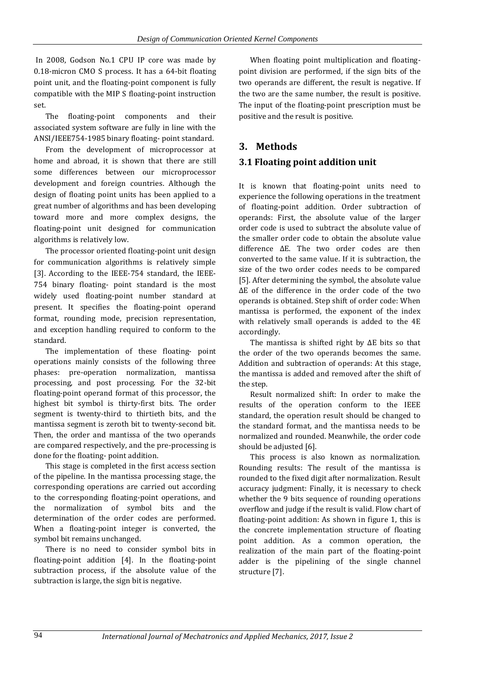In 2008, Godson No.1 CPU IP core was made by 0.18-micron CMO S process. It has a 64-bit floating point unit, and the floating-point component is fully compatible with the MIP S floating-point instruction set.

The floating-point components and their associated system software are fully in line with the ANSI/IEEE754-1985 binary floating- point standard.

From the development of microprocessor at home and abroad, it is shown that there are still some differences between our microprocessor development and foreign countries. Although the design of floating point units has been applied to a great number of algorithms and has been developing toward more and more complex designs, the floating-point unit designed for communication algorithms is relatively low.

The processor oriented floating-point unit design for communication algorithms is relatively simple [3]. According to the IEEE-754 standard, the IEEE-754 binary floating- point standard is the most widely used floating-point number standard at present. It specifies the floating-point operand format, rounding mode, precision representation, and exception handling required to conform to the standard.

The implementation of these floating- point operations mainly consists of the following three phases: pre-operation normalization, mantissa processing, and post processing. For the 32-bit floating-point operand format of this processor, the highest bit symbol is thirty-first bits. The order segment is twenty-third to thirtieth bits, and the mantissa segment is zeroth bit to twenty-second bit. Then, the order and mantissa of the two operands are compared respectively, and the pre-processing is done for the floating- point addition.

This stage is completed in the first access section of the pipeline. In the mantissa processing stage, the corresponding operations are carried out according to the corresponding floating-point operations, and the normalization of symbol bits and the determination of the order codes are performed. When a floating-point integer is converted, the symbol bit remains unchanged.

There is no need to consider symbol bits in floating-point addition [4]. In the floating-point subtraction process, if the absolute value of the subtraction is large, the sign bit is negative.

When floating point multiplication and floatingpoint division are performed, if the sign bits of the two operands are different, the result is negative. If the two are the same number, the result is positive. The input of the floating-point prescription must be positive and the result is positive.

### **3. Methods**

### **3.1 Floating point addition unit**

It is known that floating-point units need to experience the following operations in the treatment of floating-point addition. Order subtraction of operands: First, the absolute value of the larger order code is used to subtract the absolute value of the smaller order code to obtain the absolute value difference ΔE. The two order codes are then converted to the same value. If it is subtraction, the size of the two order codes needs to be compared [5]. After determining the symbol, the absolute value ΔE of the difference in the order code of the two operands is obtained. Step shift of order code: When mantissa is performed, the exponent of the index with relatively small operands is added to the 4E accordingly.

The mantissa is shifted right by ΔE bits so that the order of the two operands becomes the same. Addition and subtraction of operands: At this stage, the mantissa is added and removed after the shift of the step.

Result normalized shift: In order to make the results of the operation conform to the IEEE standard, the operation result should be changed to the standard format, and the mantissa needs to be normalized and rounded. Meanwhile, the order code should be adjusted [6].

This process is also known as normalization. Rounding results: The result of the mantissa is rounded to the fixed digit after normalization. Result accuracy judgment: Finally, it is necessary to check whether the 9 bits sequence of rounding operations overflow and judge if the result is valid. Flow chart of floating-point addition: As shown in figure 1, this is the concrete implementation structure of floating point addition. As a common operation, the realization of the main part of the floating-point adder is the pipelining of the single channel structure [7].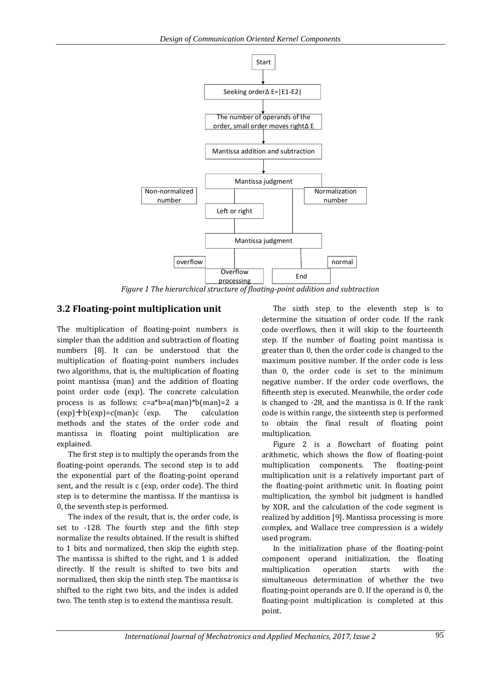

*Figure 1 The hierarchical structure of floating-point addition and subtraction*

### **3.2 Floating-point multiplication unit**

The multiplication of floating-point numbers is simpler than the addition and subtraction of floating numbers [8]. It can be understood that the multiplication of floating-point numbers includes two algorithms, that is, the multiplication of floating point mantissa (man) and the addition of floating point order code (exp). The concrete calculation process is as follows: c=a\*b=a(man)\*b(man)=2 a  $(exp) + b(exp) = c(\text{man})c$  (exp. The calculation methods and the states of the order code and mantissa in floating point multiplication are explained.

The first step is to multiply the operands from the floating-point operands. The second step is to add the exponential part of the floating-point operand sent, and the result is c (exp, order code). The third step is to determine the mantissa. If the mantissa is 0, the seventh step is performed.

The index of the result, that is, the order code, is set to -128. The fourth step and the fifth step normalize the results obtained. If the result is shifted to 1 bits and normalized, then skip the eighth step. The mantissa is shifted to the right, and 1 is added directly. If the result is shifted to two bits and normalized, then skip the ninth step. The mantissa is shifted to the right two bits, and the index is added two. The tenth step is to extend the mantissa result.

The sixth step to the eleventh step is to determine the situation of order code. If the rank code overflows, then it will skip to the fourteenth step. If the number of floating point mantissa is greater than 0, then the order code is changed to the maximum positive number. If the order code is less than 0, the order code is set to the minimum negative number. If the order code overflows, the fifteenth step is executed. Meanwhile, the order code is changed to -28, and the mantissa is 0. If the rank code is within range, the sixteenth step is performed to obtain the final result of floating point multiplication.

Figure 2 is a flowchart of floating point arithmetic, which shows the flow of floating-point multiplication components. The floating-point multiplication unit is a relatively important part of the floating-point arithmetic unit. In floating point multiplication, the symbol bit judgment is handled by XOR, and the calculation of the code segment is realized by addition [9]. Mantissa processing is more complex, and Wallace tree compression is a widely used program.

In the initialization phase of the floating-point component operand initialization, the floating multiplication operation starts with the simultaneous determination of whether the two floating-point operands are 0. If the operand is 0, the floating-point multiplication is completed at this point.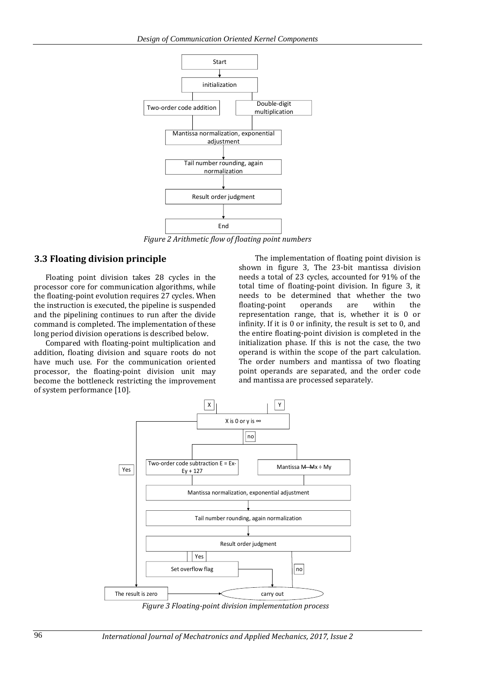

*Figure 2 Arithmetic flow of floating point numbers*

#### **3.3 Floating division principle**

Floating point division takes 28 cycles in the processor core for communication algorithms, while the floating-point evolution requires 27 cycles. When the instruction is executed, the pipeline is suspended and the pipelining continues to run after the divide command is completed. The implementation of these long period division operations is described below.

Compared with floating-point multiplication and addition, floating division and square roots do not have much use. For the communication oriented processor, the floating-point division unit may become the bottleneck restricting the improvement of system performance [10].

The implementation of floating point division is shown in figure 3, The 23-bit mantissa division needs a total of 23 cycles, accounted for 91% of the total time of floating-point division. In figure 3, it needs to be determined that whether the two floating-point operands are within the representation range, that is, whether it is 0 or infinity. If it is 0 or infinity, the result is set to 0, and the entire floating-point division is completed in the initialization phase. If this is not the case, the two operand is within the scope of the part calculation. The order numbers and mantissa of two floating point operands are separated, and the order code and mantissa are processed separately.



*Figure 3 Floating-point division implementation process*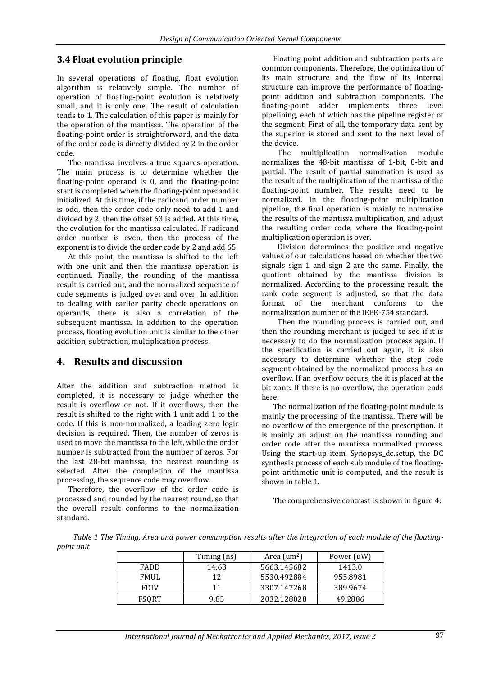### **3.4 Float evolution principle**

In several operations of floating, float evolution algorithm is relatively simple. The number of operation of floating-point evolution is relatively small, and it is only one. The result of calculation tends to 1. The calculation of this paper is mainly for the operation of the mantissa. The operation of the floating-point order is straightforward, and the data of the order code is directly divided by 2 in the order code.

The mantissa involves a true squares operation. The main process is to determine whether the floating-point operand is 0, and the floating-point start is completed when the floating-point operand is initialized. At this time, if the radicand order number is odd, then the order code only need to add 1 and divided by 2, then the offset 63 is added. At this time, the evolution for the mantissa calculated. If radicand order number is even, then the process of the exponent is to divide the order code by 2 and add 65.

At this point, the mantissa is shifted to the left with one unit and then the mantissa operation is continued. Finally, the rounding of the mantissa result is carried out, and the normalized sequence of code segments is judged over and over. In addition to dealing with earlier parity check operations on operands, there is also a correlation of the subsequent mantissa. In addition to the operation process, floating evolution unit is similar to the other addition, subtraction, multiplication process.

# **4. Results and discussion**

After the addition and subtraction method is completed, it is necessary to judge whether the result is overflow or not. If it overflows, then the result is shifted to the right with 1 unit add 1 to the code. If this is non-normalized, a leading zero logic decision is required. Then, the number of zeros is used to move the mantissa to the left, while the order number is subtracted from the number of zeros. For the last 28-bit mantissa, the nearest rounding is selected. After the completion of the mantissa processing, the sequence code may overflow.

Therefore, the overflow of the order code is processed and rounded by the nearest round, so that the overall result conforms to the normalization standard.

Floating point addition and subtraction parts are common components. Therefore, the optimization of its main structure and the flow of its internal structure can improve the performance of floatingpoint addition and subtraction components. The floating-point adder implements three level pipelining, each of which has the pipeline register of the segment. First of all, the temporary data sent by the superior is stored and sent to the next level of the device.

The multiplication normalization module normalizes the 48-bit mantissa of 1-bit, 8-bit and partial. The result of partial summation is used as the result of the multiplication of the mantissa of the floating-point number. The results need to be normalized. In the floating-point multiplication pipeline, the final operation is mainly to normalize the results of the mantissa multiplication, and adjust the resulting order code, where the floating-point multiplication operation is over.

Division determines the positive and negative values of our calculations based on whether the two signals sign 1 and sign 2 are the same. Finally, the quotient obtained by the mantissa division is normalized. According to the processing result, the rank code segment is adjusted, so that the data format of the merchant conforms to the normalization number of the IEEE-754 standard.

Then the rounding process is carried out, and then the rounding merchant is judged to see if it is necessary to do the normalization process again. If the specification is carried out again, it is also necessary to determine whether the step code segment obtained by the normalized process has an overflow. If an overflow occurs, the it is placed at the bit zone. If there is no overflow, the operation ends here.

The normalization of the floating-point module is mainly the processing of the mantissa. There will be no overflow of the emergence of the prescription. It is mainly an adjust on the mantissa rounding and order code after the mantissa normalized process. Using the start-up item. Synopsys\_dc.setup, the DC synthesis process of each sub module of the floatingpoint arithmetic unit is computed, and the result is shown in table 1.

The comprehensive contrast is shown in figure 4:

*Table 1 The Timing, Area and power consumption results after the integration of each module of the floatingpoint unit* 

|              | Timing (ns) | Area $\text{(m}^2)$ | Power (uW) |
|--------------|-------------|---------------------|------------|
| <b>FADD</b>  | 14.63       | 5663.145682         | 1413.0     |
| <b>FMUL</b>  | 12          | 5530.492884         | 955.8981   |
| <b>FDIV</b>  | 11          | 3307.147268         | 389.9674   |
| <b>FSQRT</b> | 9.85        | 2032.128028         | 49.2886    |